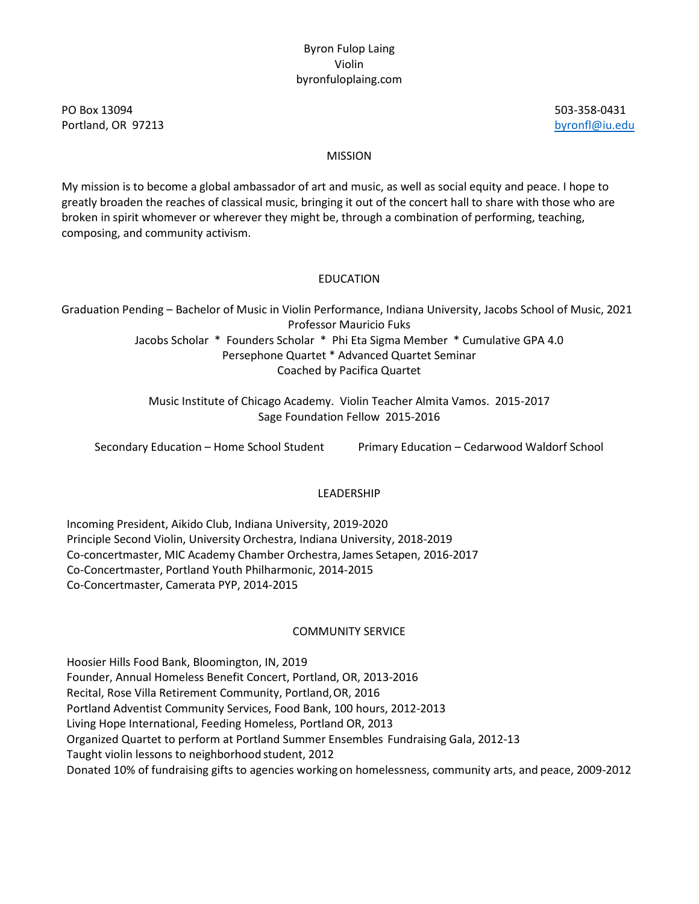PO Box 13094 503-358-0431 Portland, OR 97213 **[byronfl@iu.edu](mailto:byronfl@iu.edu)** 

### MISSION

My mission is to become a global ambassador of art and music, as well as social equity and peace. I hope to greatly broaden the reaches of classical music, bringing it out of the concert hall to share with those who are broken in spirit whomever or wherever they might be, through a combination of performing, teaching, composing, and community activism.

### EDUCATION

Graduation Pending – Bachelor of Music in Violin Performance, Indiana University, Jacobs School of Music, 2021 Professor Mauricio Fuks Jacobs Scholar \* Founders Scholar \* Phi Eta Sigma Member \* Cumulative GPA 4.0 Persephone Quartet \* Advanced Quartet Seminar Coached by Pacifica Quartet

> Music Institute of Chicago Academy. Violin Teacher Almita Vamos. 2015-2017 Sage Foundation Fellow 2015-2016

Secondary Education – Home School Student Primary Education – Cedarwood Waldorf School

### LEADERSHIP

Incoming President, Aikido Club, Indiana University, 2019-2020 Principle Second Violin, University Orchestra, Indiana University, 2018-2019 Co-concertmaster, MIC Academy Chamber Orchestra,James Setapen, 2016-2017 Co-Concertmaster, Portland Youth Philharmonic, 2014-2015 Co-Concertmaster, Camerata PYP, 2014-2015

### COMMUNITY SERVICE

Hoosier Hills Food Bank, Bloomington, IN, 2019 Founder, Annual Homeless Benefit Concert, Portland, OR, 2013-2016 Recital, Rose Villa Retirement Community, Portland,OR, 2016 Portland Adventist Community Services, Food Bank, 100 hours, 2012-2013 Living Hope International, Feeding Homeless, Portland OR, 2013 Organized Quartet to perform at Portland Summer Ensembles Fundraising Gala, 2012-13 Taught violin lessons to neighborhood student, 2012 Donated 10% of fundraising gifts to agencies workingon homelessness, community arts, and peace, 2009-2012